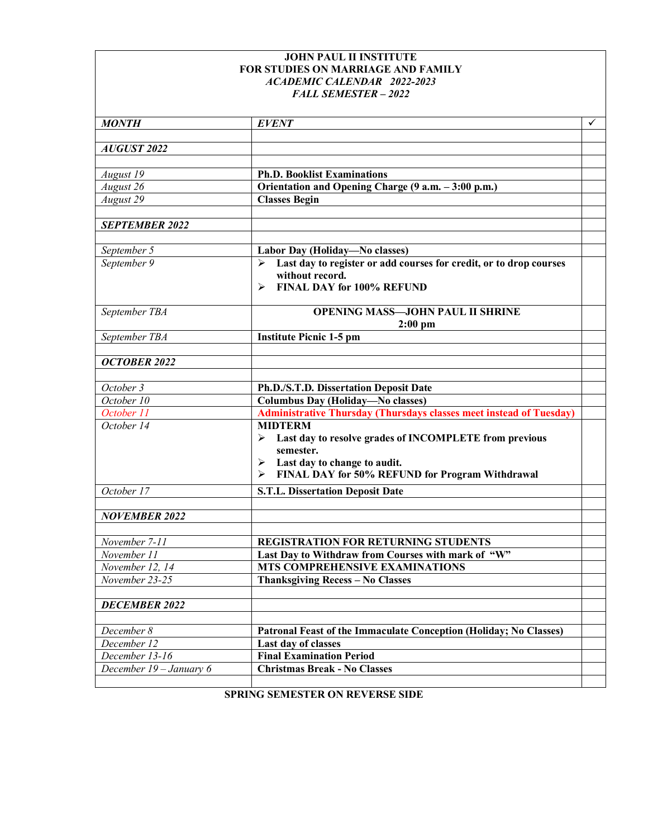## **JOHN PAUL II INSTITUTE FOR STUDIES ON MARRIAGE AND FAMILY** *ACADEMIC CALENDAR 2022-2023 FALL SEMESTER – 2022*

| <b>MONTH</b>            | <b>EVENT</b>                                                                                                                                                                            | ✓ |
|-------------------------|-----------------------------------------------------------------------------------------------------------------------------------------------------------------------------------------|---|
| <b>AUGUST 2022</b>      |                                                                                                                                                                                         |   |
|                         |                                                                                                                                                                                         |   |
| August 19               | <b>Ph.D. Booklist Examinations</b>                                                                                                                                                      |   |
| August 26               | Orientation and Opening Charge (9 a.m. - 3:00 p.m.)                                                                                                                                     |   |
| August 29               | <b>Classes Begin</b>                                                                                                                                                                    |   |
| <b>SEPTEMBER 2022</b>   |                                                                                                                                                                                         |   |
| September 5             | Labor Day (Holiday-No classes)                                                                                                                                                          |   |
| September 9             | Last day to register or add courses for credit, or to drop courses<br>➤<br>without record.<br>FINAL DAY for 100% REFUND<br>⋗                                                            |   |
| September TBA           | <b>OPENING MASS-JOHN PAUL II SHRINE</b><br>$2:00$ pm                                                                                                                                    |   |
| September TBA           | <b>Institute Picnic 1-5 pm</b>                                                                                                                                                          |   |
| <b>OCTOBER 2022</b>     |                                                                                                                                                                                         |   |
| October 3               | Ph.D./S.T.D. Dissertation Deposit Date                                                                                                                                                  |   |
| October 10              | <b>Columbus Day (Holiday-No classes)</b>                                                                                                                                                |   |
| October 11              | <b>Administrative Thursday (Thursdays classes meet instead of Tuesday)</b>                                                                                                              |   |
| October 14              | <b>MIDTERM</b><br>Last day to resolve grades of INCOMPLETE from previous<br>⋗<br>semester.<br>Last day to change to audit.<br>➤<br>FINAL DAY for 50% REFUND for Program Withdrawal<br>➤ |   |
| October 17              | <b>S.T.L. Dissertation Deposit Date</b>                                                                                                                                                 |   |
| <b>NOVEMBER 2022</b>    |                                                                                                                                                                                         |   |
|                         |                                                                                                                                                                                         |   |
| November 7-11           | REGISTRATION FOR RETURNING STUDENTS                                                                                                                                                     |   |
| November 11             | Last Day to Withdraw from Courses with mark of "W"                                                                                                                                      |   |
| November 12, 14         | MTS COMPREHENSIVE EXAMINATIONS                                                                                                                                                          |   |
| November 23-25          | Thanksgiving Recess - No Classes                                                                                                                                                        |   |
| <b>DECEMBER 2022</b>    |                                                                                                                                                                                         |   |
| December 8              | Patronal Feast of the Immaculate Conception (Holiday; No Classes)                                                                                                                       |   |
| December 12             | Last day of classes                                                                                                                                                                     |   |
| December 13-16          | <b>Final Examination Period</b>                                                                                                                                                         |   |
| December 19 - January 6 | <b>Christmas Break - No Classes</b>                                                                                                                                                     |   |
|                         |                                                                                                                                                                                         |   |

**SPRING SEMESTER ON REVERSE SIDE**